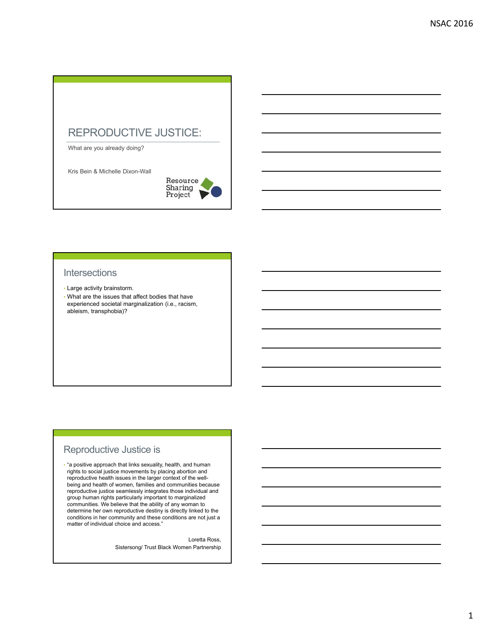## REPRODUCTIVE JUSTICE:

What are you already doing?

Kris Bein & Michelle Dixon-Wall



### **Intersections**

- Large activity brainstorm.
- What are the issues that affect bodies that have experienced societal marginalization (i.e., racism, ableism, transphobia)?

## Reproductive Justice is

• "a positive approach that links sexuality, health, and human rights to social justice movements by placing abortion and reproductive health issues in the larger context of the wellbeing and health of women, families and communities because reproductive justice seamlessly integrates those individual and group human rights particularly important to marginalized communities. We believe that the ability of any woman to determine her own reproductive destiny is directly linked to the conditions in her community and these conditions are not just a matter of individual choice and access."

> Loretta Ross, Sistersong/ Trust Black Women Partnership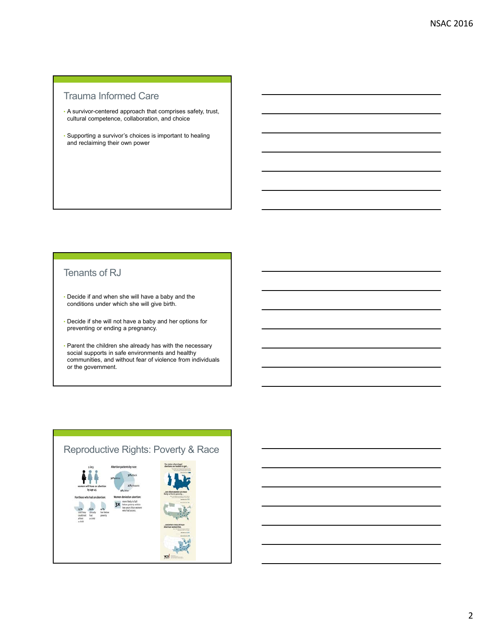# Trauma Informed Care

- A survivor-centered approach that comprises safety, trust, cultural competence, collaboration, and choice
- Supporting a survivor's choices is important to healing and reclaiming their own power

## Tenants of RJ

- Decide if and when she will have a baby and the conditions under which she will give birth.
- Decide if she will not have a baby and her options for preventing or ending a pregnancy.
- Parent the children she already has with the necessary social supports in safe environments and healthy communities, and without fear of violence from individuals or the government.

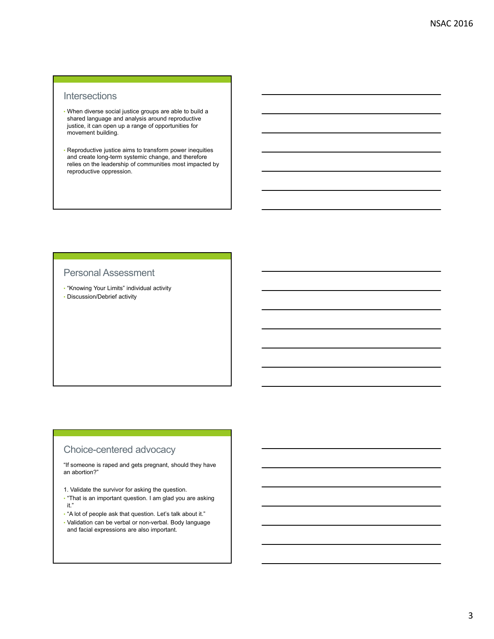### **Intersections**

- When diverse social justice groups are able to build a shared language and analysis around reproductive justice, it can open up a range of opportunities for movement building.
- Reproductive justice aims to transform power inequities and create long-term systemic change, and therefore relies on the leadership of communities most impacted by reproductive oppression.

#### Personal Assessment

- "Knowing Your Limits" individual activity
- Discussion/Debrief activity

## Choice-centered advocacy

"If someone is raped and gets pregnant, should they have an abortion?"

- 1. Validate the survivor for asking the question.
- "That is an important question. I am glad you are asking it."
- "A lot of people ask that question. Let's talk about it."
- Validation can be verbal or non-verbal. Body language and facial expressions are also important.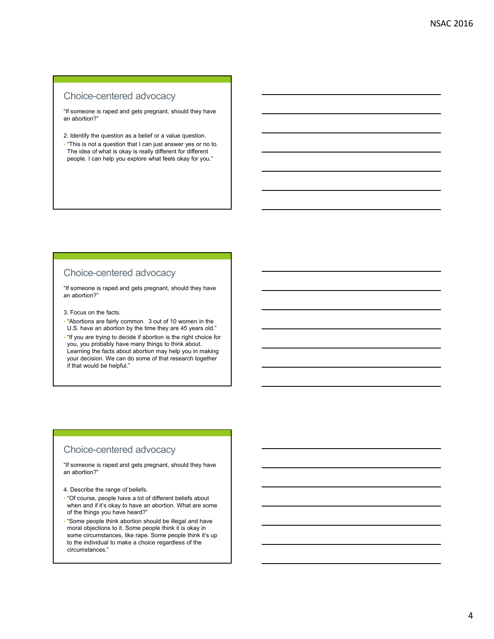# Choice-centered advocacy

"If someone is raped and gets pregnant, should they have an abortion?"

- 2. Identify the question as a belief or a value question.
- "This is not a question that I can just answer yes or no to. The idea of what is okay is really different for different people. I can help you explore what feels okay for you."

### Choice-centered advocacy

"If someone is raped and gets pregnant, should they have an abortion?"

3. Focus on the facts.

- "Abortions are fairly common. 3 out of 10 women in the U.S. have an abortion by the time they are 45 years old."
- "If you are trying to decide if abortion is the right choice for you, you probably have many things to think about. Learning the facts about abortion may help you in making your decision. We can do some of that research together if that would be helpful."

#### Choice-centered advocacy

"If someone is raped and gets pregnant, should they have an abortion?"

- 4. Describe the range of beliefs.
- "Of course, people have a lot of different beliefs about when and if it's okay to have an abortion. What are some of the things you have heard?"
- "Some people think abortion should be illegal and have moral objections to it. Some people think it is okay in some circumstances, like rape. Some people think it's up to the individual to make a choice regardless of the circumstances."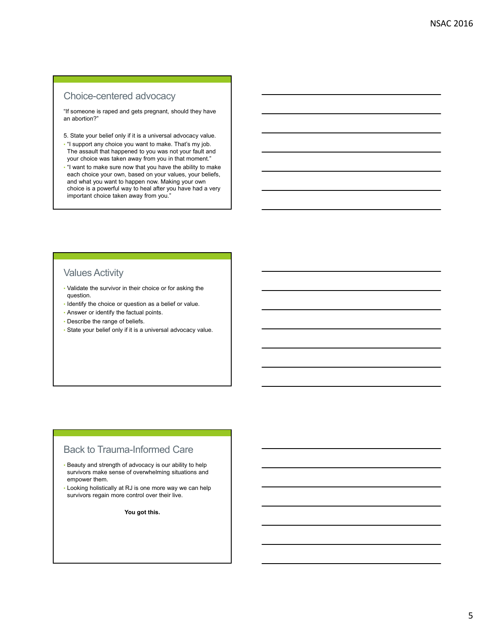# Choice-centered advocacy

"If someone is raped and gets pregnant, should they have an abortion?"

5. State your belief only if it is a universal advocacy value.

- "I support any choice you want to make. That's my job. The assault that happened to you was not your fault and your choice was taken away from you in that moment."
- "I want to make sure now that you have the ability to make each choice your own, based on your values, your beliefs, and what you want to happen now. Making your own choice is a powerful way to heal after you have had a very important choice taken away from you."

## Values Activity

- Validate the survivor in their choice or for asking the question.
- Identify the choice or question as a belief or value.
- Answer or identify the factual points.
- Describe the range of beliefs.
- State your belief only if it is a universal advocacy value.

## Back to Trauma-Informed Care

- Beauty and strength of advocacy is our ability to help survivors make sense of overwhelming situations and empower them.
- Looking holistically at RJ is one more way we can help survivors regain more control over their live.

**You got this.**